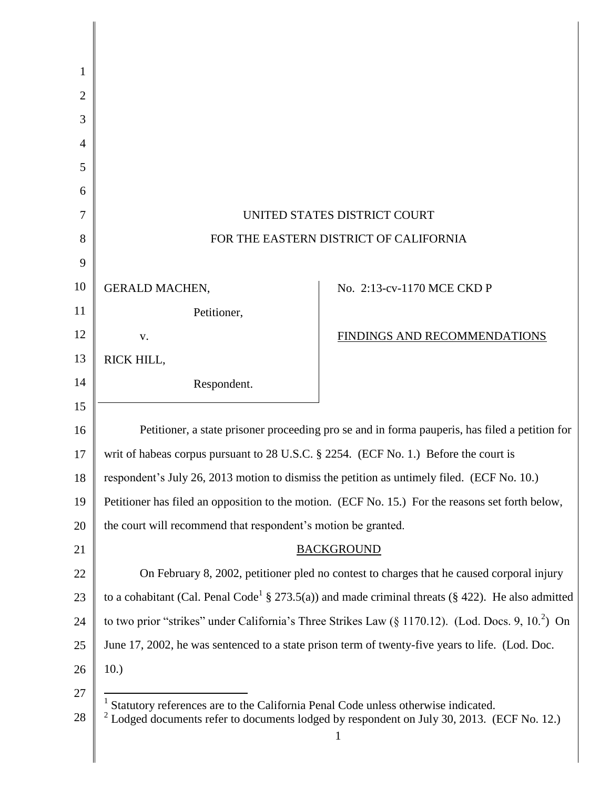| 1              |                                                                                                                   |                                                                                                               |
|----------------|-------------------------------------------------------------------------------------------------------------------|---------------------------------------------------------------------------------------------------------------|
| 2              |                                                                                                                   |                                                                                                               |
| 3              |                                                                                                                   |                                                                                                               |
| $\overline{4}$ |                                                                                                                   |                                                                                                               |
| 5              |                                                                                                                   |                                                                                                               |
| 6              |                                                                                                                   |                                                                                                               |
| 7              | UNITED STATES DISTRICT COURT                                                                                      |                                                                                                               |
| 8              | FOR THE EASTERN DISTRICT OF CALIFORNIA                                                                            |                                                                                                               |
| 9              |                                                                                                                   |                                                                                                               |
| 10             | <b>GERALD MACHEN,</b>                                                                                             | No. 2:13-cv-1170 MCE CKD P                                                                                    |
| 11             | Petitioner,                                                                                                       |                                                                                                               |
| 12             | V.                                                                                                                | FINDINGS AND RECOMMENDATIONS                                                                                  |
| 13             | RICK HILL,                                                                                                        |                                                                                                               |
| 14             | Respondent.                                                                                                       |                                                                                                               |
| 15             |                                                                                                                   |                                                                                                               |
| 16             | Petitioner, a state prisoner proceeding pro se and in forma pauperis, has filed a petition for                    |                                                                                                               |
| 17             | writ of habeas corpus pursuant to 28 U.S.C. § 2254. (ECF No. 1.) Before the court is                              |                                                                                                               |
| 18             | respondent's July 26, 2013 motion to dismiss the petition as untimely filed. (ECF No. 10.)                        |                                                                                                               |
| 19             |                                                                                                                   | Petitioner has filed an opposition to the motion. (ECF No. 15.) For the reasons set forth below,              |
| 20             | the court will recommend that respondent's motion be granted.                                                     |                                                                                                               |
| 21             | <b>BACKGROUND</b>                                                                                                 |                                                                                                               |
| 22             |                                                                                                                   | On February 8, 2002, petitioner pled no contest to charges that he caused corporal injury                     |
| 23             |                                                                                                                   | to a cohabitant (Cal. Penal Code <sup>1</sup> § 273.5(a)) and made criminal threats (§ 422). He also admitted |
| 24             | to two prior "strikes" under California's Three Strikes Law $(\S 1170.12)$ . (Lod. Docs. 9, 10. <sup>2</sup> ) On |                                                                                                               |
| 25             |                                                                                                                   | June 17, 2002, he was sentenced to a state prison term of twenty-five years to life. (Lod. Doc.               |
| 26             | 10.)                                                                                                              |                                                                                                               |
| 27             | Statutory references are to the California Penal Code unless otherwise indicated.                                 |                                                                                                               |
| 28             |                                                                                                                   | $2^2$ Lodged documents refer to documents lodged by respondent on July 30, 2013. (ECF No. 12.)                |

║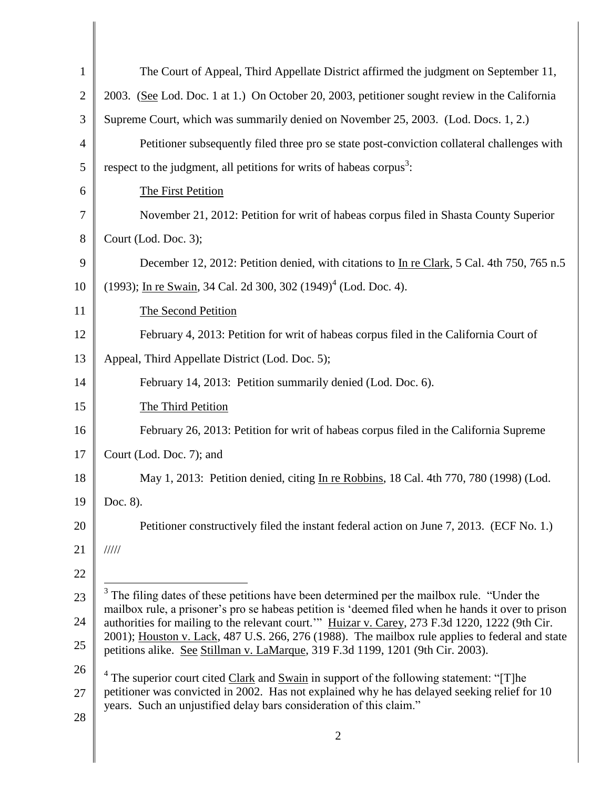| $\mathbf{1}$   | The Court of Appeal, Third Appellate District affirmed the judgment on September 11,                                                                                                                |  |
|----------------|-----------------------------------------------------------------------------------------------------------------------------------------------------------------------------------------------------|--|
| $\overline{2}$ | 2003. (See Lod. Doc. 1 at 1.) On October 20, 2003, petitioner sought review in the California                                                                                                       |  |
| 3              | Supreme Court, which was summarily denied on November 25, 2003. (Lod. Docs. 1, 2.)                                                                                                                  |  |
| 4              | Petitioner subsequently filed three pro se state post-conviction collateral challenges with                                                                                                         |  |
| 5              | respect to the judgment, all petitions for writs of habeas corpus <sup>3</sup> :                                                                                                                    |  |
| 6              | The First Petition                                                                                                                                                                                  |  |
| 7              | November 21, 2012: Petition for writ of habeas corpus filed in Shasta County Superior                                                                                                               |  |
| 8              | Court (Lod. Doc. 3);                                                                                                                                                                                |  |
| 9              | December 12, 2012: Petition denied, with citations to In re Clark, 5 Cal. 4th 750, 765 n.5                                                                                                          |  |
| 10             | (1993); In re Swain, 34 Cal. 2d 300, 302 (1949) <sup>4</sup> (Lod. Doc. 4).                                                                                                                         |  |
| 11             | The Second Petition                                                                                                                                                                                 |  |
| 12             | February 4, 2013: Petition for writ of habeas corpus filed in the California Court of                                                                                                               |  |
| 13             | Appeal, Third Appellate District (Lod. Doc. 5);                                                                                                                                                     |  |
| 14             | February 14, 2013: Petition summarily denied (Lod. Doc. 6).                                                                                                                                         |  |
| 15             | The Third Petition                                                                                                                                                                                  |  |
| 16             | February 26, 2013: Petition for writ of habeas corpus filed in the California Supreme                                                                                                               |  |
| 17             | Court (Lod. Doc. 7); and                                                                                                                                                                            |  |
| 18             | May 1, 2013: Petition denied, citing In re Robbins, 18 Cal. 4th 770, 780 (1998) (Lod.                                                                                                               |  |
| 19             | Doc. 8).                                                                                                                                                                                            |  |
| 20             | Petitioner constructively filed the instant federal action on June 7, 2013. (ECF No. 1.)                                                                                                            |  |
| 21             | 11111                                                                                                                                                                                               |  |
| 22             |                                                                                                                                                                                                     |  |
| 23             | $3$ The filing dates of these petitions have been determined per the mailbox rule. "Under the<br>mailbox rule, a prisoner's pro se habeas petition is 'deemed filed when he hands it over to prison |  |
| 24             | authorities for mailing to the relevant court." Huizar v. Carey, 273 F.3d 1220, 1222 (9th Cir.                                                                                                      |  |
| 25             | 2001); Houston v. Lack, 487 U.S. 266, 276 (1988). The mailbox rule applies to federal and state<br>petitions alike. See Stillman v. LaMarque, 319 F.3d 1199, 1201 (9th Cir. 2003).                  |  |
| 26             | $4$ The superior court cited Clark and Swain in support of the following statement: "[T]he                                                                                                          |  |
| 27             | petitioner was convicted in 2002. Has not explained why he has delayed seeking relief for 10<br>years. Such an unjustified delay bars consideration of this claim."                                 |  |
| 28             |                                                                                                                                                                                                     |  |
|                | $\overline{2}$                                                                                                                                                                                      |  |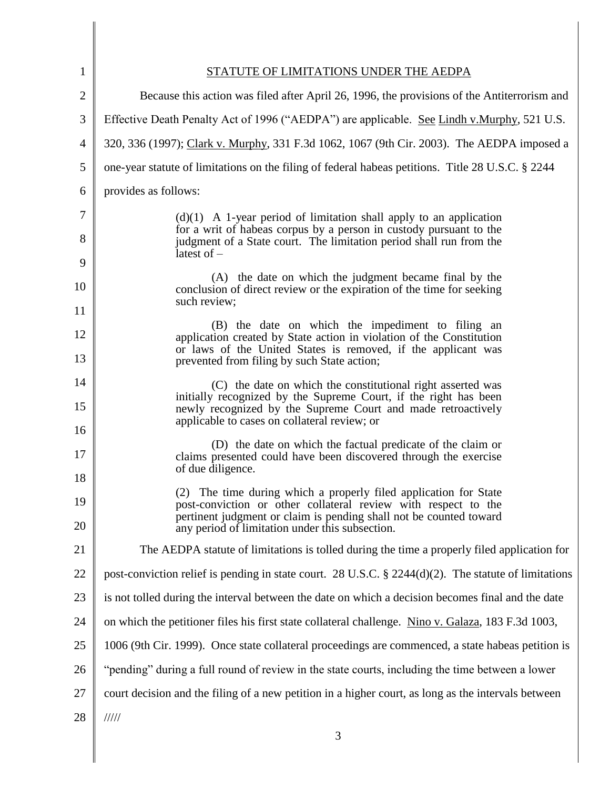| 1              | STATUTE OF LIMITATIONS UNDER THE AEDPA                                                                                                                     |  |
|----------------|------------------------------------------------------------------------------------------------------------------------------------------------------------|--|
| $\overline{2}$ | Because this action was filed after April 26, 1996, the provisions of the Antiterrorism and                                                                |  |
| 3              | Effective Death Penalty Act of 1996 ("AEDPA") are applicable. See Lindh v.Murphy, 521 U.S.                                                                 |  |
| 4              | 320, 336 (1997); Clark v. Murphy, 331 F.3d 1062, 1067 (9th Cir. 2003). The AEDPA imposed a                                                                 |  |
| 5              | one-year statute of limitations on the filing of federal habeas petitions. Title 28 U.S.C. § 2244                                                          |  |
| 6              | provides as follows:                                                                                                                                       |  |
| 7              | $(d)(1)$ A 1-year period of limitation shall apply to an application                                                                                       |  |
| 8              | for a writ of habeas corpus by a person in custody pursuant to the<br>judgment of a State court. The limitation period shall run from the<br>latest of $-$ |  |
| 9              | (A) the date on which the judgment became final by the                                                                                                     |  |
| 10<br>11       | conclusion of direct review or the expiration of the time for seeking<br>such review;                                                                      |  |
|                | (B) the date on which the impediment to filing an                                                                                                          |  |
| 12             | application created by State action in violation of the Constitution<br>or laws of the United States is removed, if the applicant was                      |  |
| 13             | prevented from filing by such State action;                                                                                                                |  |
| 14             | (C) the date on which the constitutional right asserted was<br>initially recognized by the Supreme Court, if the right has been                            |  |
| 15<br>16       | newly recognized by the Supreme Court and made retroactively<br>applicable to cases on collateral review; or                                               |  |
| 17             | (D) the date on which the factual predicate of the claim or<br>claims presented could have been discovered through the exercise                            |  |
| 18             | of due diligence.                                                                                                                                          |  |
| 19             | The time during which a properly filed application for State<br>(2)<br>post-conviction or other collateral review with respect to the                      |  |
| 20             | pertinent judgment or claim is pending shall not be counted toward<br>any period of limitation under this subsection.                                      |  |
| 21             | The AEDPA statute of limitations is tolled during the time a properly filed application for                                                                |  |
| 22             | post-conviction relief is pending in state court. 28 U.S.C. $\S$ 2244(d)(2). The statute of limitations                                                    |  |
| 23             | is not tolled during the interval between the date on which a decision becomes final and the date                                                          |  |
| 24             | on which the petitioner files his first state collateral challenge. Nino v. Galaza, 183 F.3d 1003,                                                         |  |
| 25             | 1006 (9th Cir. 1999). Once state collateral proceedings are commenced, a state habeas petition is                                                          |  |
| 26             | "pending" during a full round of review in the state courts, including the time between a lower                                                            |  |
| 27             | court decision and the filing of a new petition in a higher court, as long as the intervals between                                                        |  |
| 28             | $\frac{1}{1}$                                                                                                                                              |  |
|                | 3                                                                                                                                                          |  |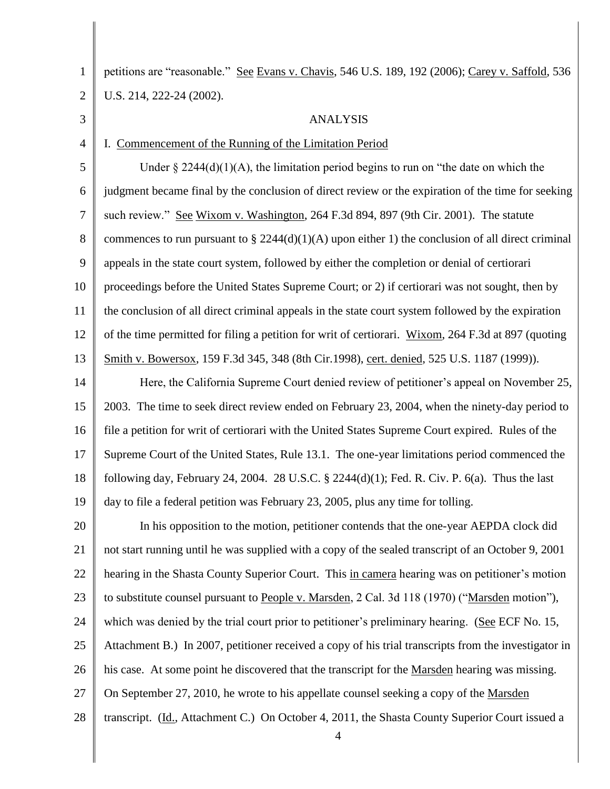1 2 3 4 5 6 7 8 9 10 11 12 13 14 15 16 17 18 19 20 21 22 23 24 25 26 27 28 petitions are "reasonable." See Evans v. Chavis, 546 U.S. 189, 192 (2006); Carey v. Saffold, 536 U.S. 214, 222-24 (2002). ANALYSIS I. Commencement of the Running of the Limitation Period Under  $\S 2244(d)(1)(A)$ , the limitation period begins to run on "the date on which the judgment became final by the conclusion of direct review or the expiration of the time for seeking such review." See Wixom v. Washington, 264 F.3d 894, 897 (9th Cir. 2001). The statute commences to run pursuant to § 2244(d)(1)(A) upon either 1) the conclusion of all direct criminal appeals in the state court system, followed by either the completion or denial of certiorari proceedings before the United States Supreme Court; or 2) if certiorari was not sought, then by the conclusion of all direct criminal appeals in the state court system followed by the expiration of the time permitted for filing a petition for writ of certiorari. Wixom, 264 F.3d at 897 (quoting Smith v. Bowersox, 159 F.3d 345, 348 (8th Cir.1998), cert. denied, 525 U.S. 1187 (1999)). Here, the California Supreme Court denied review of petitioner's appeal on November 25, 2003. The time to seek direct review ended on February 23, 2004, when the ninety-day period to file a petition for writ of certiorari with the United States Supreme Court expired. Rules of the Supreme Court of the United States, Rule 13.1. The one-year limitations period commenced the following day, February 24, 2004. 28 U.S.C.  $\S$  2244(d)(1); Fed. R. Civ. P. 6(a). Thus the last day to file a federal petition was February 23, 2005, plus any time for tolling. In his opposition to the motion, petitioner contends that the one-year AEPDA clock did not start running until he was supplied with a copy of the sealed transcript of an October 9, 2001 hearing in the Shasta County Superior Court. This in camera hearing was on petitioner's motion to substitute counsel pursuant to People v. Marsden, 2 Cal. 3d 118 (1970) ("Marsden motion"), which was denied by the trial court prior to petitioner's preliminary hearing. (See ECF No. 15, Attachment B.) In 2007, petitioner received a copy of his trial transcripts from the investigator in his case. At some point he discovered that the transcript for the Marsden hearing was missing. On September 27, 2010, he wrote to his appellate counsel seeking a copy of the Marsden transcript. (Id., Attachment C.) On October 4, 2011, the Shasta County Superior Court issued a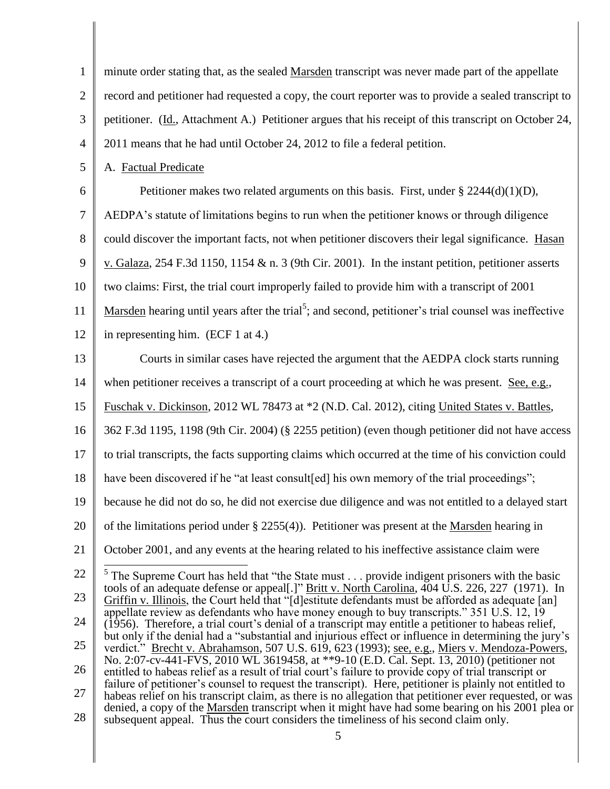| $\mathbf{1}$   | minute order stating that, as the sealed Marsden transcript was never made part of the appellate                                                                                                                   |
|----------------|--------------------------------------------------------------------------------------------------------------------------------------------------------------------------------------------------------------------|
| $\overline{2}$ | record and petitioner had requested a copy, the court reporter was to provide a sealed transcript to                                                                                                               |
| 3              | petitioner. (Id., Attachment A.) Petitioner argues that his receipt of this transcript on October 24,                                                                                                              |
| 4              | 2011 means that he had until October 24, 2012 to file a federal petition.                                                                                                                                          |
| 5              | A. Factual Predicate                                                                                                                                                                                               |
| 6              | Petitioner makes two related arguments on this basis. First, under $\S 2244(d)(1)(D)$ ,                                                                                                                            |
| 7              | AEDPA's statute of limitations begins to run when the petitioner knows or through diligence                                                                                                                        |
| 8              | could discover the important facts, not when petitioner discovers their legal significance. Hasan                                                                                                                  |
| 9              | v. Galaza, 254 F.3d 1150, 1154 & n. 3 (9th Cir. 2001). In the instant petition, petitioner asserts                                                                                                                 |
| 10             | two claims: First, the trial court improperly failed to provide him with a transcript of 2001                                                                                                                      |
| 11             | Marsden hearing until years after the trial <sup>5</sup> ; and second, petitioner's trial counsel was ineffective                                                                                                  |
| 12             | in representing him. (ECF 1 at 4.)                                                                                                                                                                                 |
| 13             | Courts in similar cases have rejected the argument that the AEDPA clock starts running                                                                                                                             |
| 14             | when petitioner receives a transcript of a court proceeding at which he was present. See, e.g.,                                                                                                                    |
| 15             | Fuschak v. Dickinson, 2012 WL 78473 at *2 (N.D. Cal. 2012), citing United States v. Battles,                                                                                                                       |
| 16             | 362 F.3d 1195, 1198 (9th Cir. 2004) (§ 2255 petition) (even though petitioner did not have access                                                                                                                  |
| 17             | to trial transcripts, the facts supporting claims which occurred at the time of his conviction could                                                                                                               |
| 18             | have been discovered if he "at least consult [ed] his own memory of the trial proceedings";                                                                                                                        |
| 19             | because he did not do so, he did not exercise due diligence and was not entitled to a delayed start                                                                                                                |
| 20             | of the limitations period under $\S$ 2255(4)). Petitioner was present at the Marsden hearing in                                                                                                                    |
| 21             | October 2001, and any events at the hearing related to his ineffective assistance claim were                                                                                                                       |
| 22             | $5$ The Supreme Court has held that "the State must provide indigent prisoners with the basic                                                                                                                      |
| 23             | tools of an adequate defense or appeal[.]" Britt v. North Carolina, 404 U.S. 226, 227 (1971). In<br>Griffin v. Illinois, the Court held that "[d] estitute defendants must be afforded as adequate [an]            |
| 24             | appellate review as defendants who have money enough to buy transcripts." 351 U.S. 12, 19<br>(1956). Therefore, a trial court's denial of a transcript may entitle a petitioner to habeas relief,                  |
| 25             | but only if the denial had a "substantial and injurious effect or influence in determining the jury's<br>verdict." Brecht v. Abrahamson, 507 U.S. 619, 623 (1993); see, e.g., Miers v. Mendoza-Powers,             |
| 26             | No. 2:07-cv-441-FVS, 2010 WL 3619458, at **9-10 (E.D. Cal. Sept. 13, 2010) (petitioner not<br>entitled to habeas relief as a result of trial court's failure to provide copy of trial transcript or                |
| 27             | failure of petitioner's counsel to request the transcript). Here, petitioner is plainly not entitled to<br>habeas relief on his transcript claim, as there is no allegation that petitioner ever requested, or was |
| 28             | denied, a copy of the Marsden transcript when it might have had some bearing on his 2001 plea or<br>subsequent appeal. Thus the court considers the timeliness of his second claim only.                           |
|                | 5                                                                                                                                                                                                                  |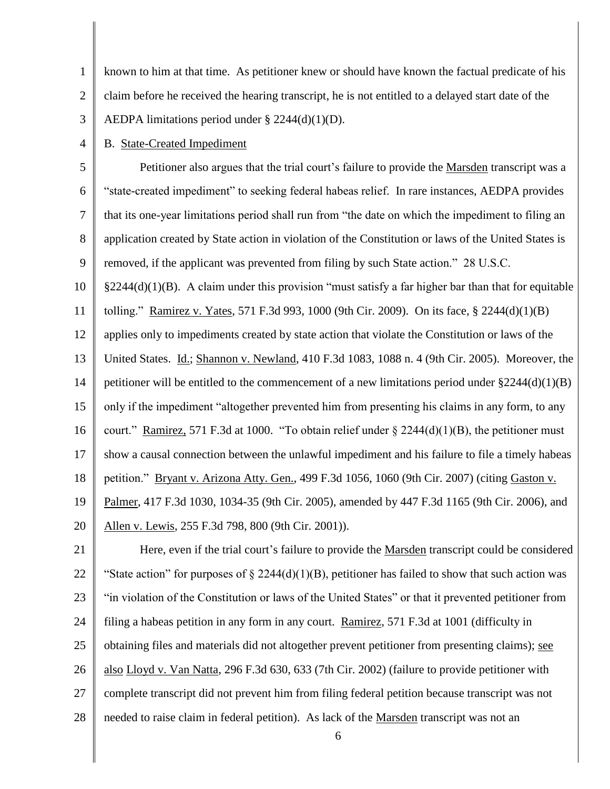1 2 3 known to him at that time. As petitioner knew or should have known the factual predicate of his claim before he received the hearing transcript, he is not entitled to a delayed start date of the AEDPA limitations period under  $\S 2244(d)(1)(D)$ .

4 B. State-Created Impediment

5 6 7 8 9 Petitioner also argues that the trial court's failure to provide the Marsden transcript was a "state-created impediment" to seeking federal habeas relief. In rare instances, AEDPA provides that its one-year limitations period shall run from "the date on which the impediment to filing an application created by State action in violation of the Constitution or laws of the United States is removed, if the applicant was prevented from filing by such State action." 28 U.S.C.

10  $\S2244(d)(1)(B)$ . A claim under this provision "must satisfy a far higher bar than that for equitable

11 tolling." Ramirez v. Yates, 571 F.3d 993, 1000 (9th Cir. 2009). On its face, § 2244(d)(1)(B)

12 applies only to impediments created by state action that violate the Constitution or laws of the

13 United States. Id.; Shannon v. Newland, 410 F.3d 1083, 1088 n. 4 (9th Cir. 2005). Moreover, the

14 petitioner will be entitled to the commencement of a new limitations period under §2244(d)(1)(B)

15 only if the impediment "altogether prevented him from presenting his claims in any form, to any

16 court." Ramirez, 571 F.3d at 1000. "To obtain relief under  $\S 2244(d)(1)(B)$ , the petitioner must

17 show a causal connection between the unlawful impediment and his failure to file a timely habeas

18 petition." Bryant v. Arizona Atty. Gen., 499 F.3d 1056, 1060 (9th Cir. 2007) (citing Gaston v.

19 Palmer, 417 F.3d 1030, 1034-35 (9th Cir. 2005), amended by 447 F.3d 1165 (9th Cir. 2006), and

20 Allen v. Lewis, 255 F.3d 798, 800 (9th Cir. 2001)).

21 22 23 24 25 26 27 28 Here, even if the trial court's failure to provide the Marsden transcript could be considered "State action" for purposes of  $\S 2244(d)(1)(B)$ , petitioner has failed to show that such action was "in violation of the Constitution or laws of the United States" or that it prevented petitioner from filing a habeas petition in any form in any court. Ramirez, 571 F.3d at 1001 (difficulty in obtaining files and materials did not altogether prevent petitioner from presenting claims); see also Lloyd v. Van Natta, 296 F.3d 630, 633 (7th Cir. 2002) (failure to provide petitioner with complete transcript did not prevent him from filing federal petition because transcript was not needed to raise claim in federal petition). As lack of the Marsden transcript was not an

6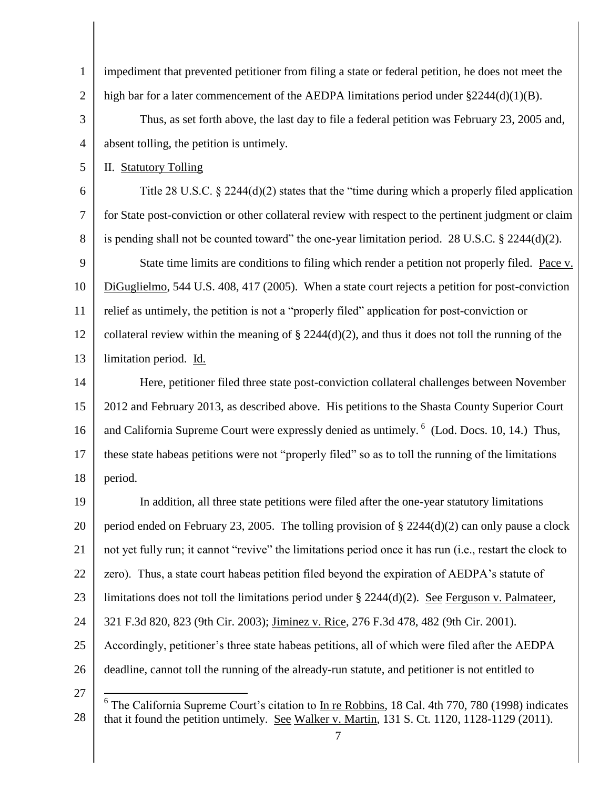1 2 3 impediment that prevented petitioner from filing a state or federal petition, he does not meet the high bar for a later commencement of the AEDPA limitations period under  $\S 2244(d)(1)(B)$ . Thus, as set forth above, the last day to file a federal petition was February 23, 2005 and,

4 absent tolling, the petition is untimely.

5 II. Statutory Tolling

6 7 8 9 10 11 12 13 Title 28 U.S.C. § 2244(d)(2) states that the "time during which a properly filed application for State post-conviction or other collateral review with respect to the pertinent judgment or claim is pending shall not be counted toward" the one-year limitation period. 28 U.S.C. § 2244(d)(2). State time limits are conditions to filing which render a petition not properly filed. Pace v. DiGuglielmo, 544 U.S. 408, 417 (2005). When a state court rejects a petition for post-conviction relief as untimely, the petition is not a "properly filed" application for post-conviction or collateral review within the meaning of  $\S 2244(d)(2)$ , and thus it does not toll the running of the limitation period. Id.

14 15 16 17 18 Here, petitioner filed three state post-conviction collateral challenges between November 2012 and February 2013, as described above. His petitions to the Shasta County Superior Court and California Supreme Court were expressly denied as untimely. <sup>6</sup> (Lod. Docs. 10, 14.) Thus, these state habeas petitions were not "properly filed" so as to toll the running of the limitations period.

19 20 21 22 23 24 25 26 27 In addition, all three state petitions were filed after the one-year statutory limitations period ended on February 23, 2005. The tolling provision of § 2244(d)(2) can only pause a clock not yet fully run; it cannot "revive" the limitations period once it has run (i.e., restart the clock to zero). Thus, a state court habeas petition filed beyond the expiration of AEDPA's statute of limitations does not toll the limitations period under  $\S 2244(d)(2)$ . See Ferguson v. Palmateer, 321 F.3d 820, 823 (9th Cir. 2003); Jiminez v. Rice, 276 F.3d 478, 482 (9th Cir. 2001). Accordingly, petitioner's three state habeas petitions, all of which were filed after the AEDPA deadline, cannot toll the running of the already-run statute, and petitioner is not entitled to  $\overline{a}$ 

<sup>28</sup> <sup>6</sup> The California Supreme Court's citation to In re Robbins, 18 Cal. 4th 770, 780 (1998) indicates that it found the petition untimely. See Walker v. Martin, 131 S. Ct. 1120, 1128-1129 (2011).